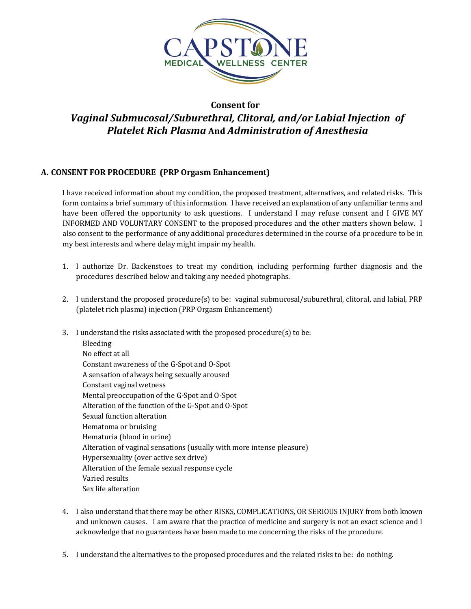

# **Consent for**  *Vaginal Submucosal/Suburethral, Clitoral, and/or Labial Injection of Platelet Rich Plasma* **And** *Administration of Anesthesia*

## **A. CONSENT FOR PROCEDURE (PRP Orgasm Enhancement)**

I have received information about my condition, the proposed treatment, alternatives, and related risks. This form contains a brief summary of this information. I have received an explanation of any unfamiliar terms and have been offered the opportunity to ask questions. I understand I may refuse consent and I GIVE MY INFORMED AND VOLUNTARY CONSENT to the proposed procedures and the other matters shown below. I also consent to the performance of any additional procedures determined in the course of a procedure to be in my best interests and where delay might impair my health.

- 1. I authorize Dr. Backenstoes to treat my condition, including performing further diagnosis and the procedures described below and taking any needed photographs.
- 2. I understand the proposed procedure(s) to be: vaginal submucosal/suburethral, clitoral, and labial, PRP (platelet rich plasma) injection (PRP Orgasm Enhancement)
- 3. I understand the risks associated with the proposed procedure(s) to be: Bleeding No effect at all Constant awareness of the G-Spot and O-Spot A sensation of always being sexually aroused Constant vaginal wetness Mental preoccupation of the G-Spot and O-Spot Alteration of the function of the G-Spot and O-Spot Sexual function alteration Hematoma or bruising Hematuria (blood in urine) Alteration of vaginal sensations (usually with more intense pleasure) Hypersexuality (over active sex drive) Alteration of the female sexual response cycle Varied results Sex life alteration
- 4. I also understand that there may be other RISKS, COMPLICATIONS, OR SERIOUS INJURY from both known and unknown causes. I am aware that the practice of medicine and surgery is not an exact science and I acknowledge that no guarantees have been made to me concerning the risks of the procedure.
- 5. I understand the alternatives to the proposed procedures and the related risks to be: do nothing.